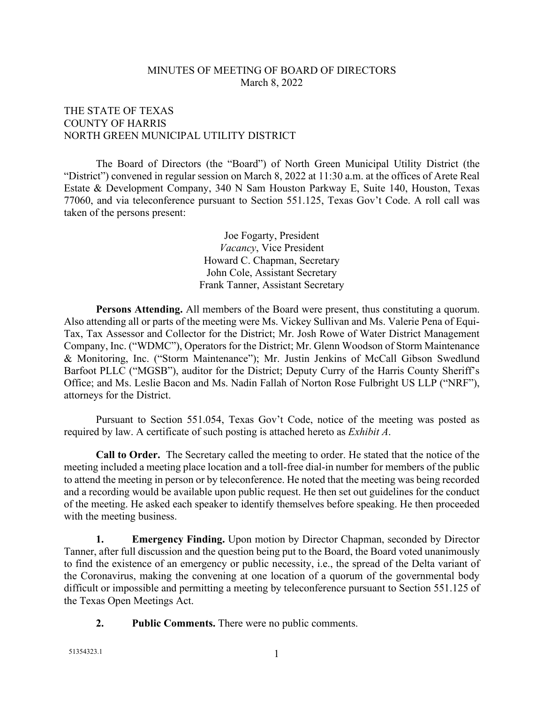## MINUTES OF MEETING OF BOARD OF DIRECTORS March 8, 2022

## THE STATE OF TEXAS COUNTY OF HARRIS NORTH GREEN MUNICIPAL UTILITY DISTRICT

The Board of Directors (the "Board") of North Green Municipal Utility District (the "District") convened in regular session on March 8, 2022 at 11:30 a.m. at the offices of Arete Real Estate & Development Company, 340 N Sam Houston Parkway E, Suite 140, Houston, Texas 77060, and via teleconference pursuant to Section 551.125, Texas Gov't Code. A roll call was taken of the persons present:

> Joe Fogarty, President *Vacancy*, Vice President Howard C. Chapman, Secretary John Cole, Assistant Secretary Frank Tanner, Assistant Secretary

**Persons Attending.** All members of the Board were present, thus constituting a quorum. Also attending all or parts of the meeting were Ms. Vickey Sullivan and Ms. Valerie Pena of Equi-Tax, Tax Assessor and Collector for the District; Mr. Josh Rowe of Water District Management Company, Inc. ("WDMC"), Operators for the District; Mr. Glenn Woodson of Storm Maintenance & Monitoring, Inc. ("Storm Maintenance"); Mr. Justin Jenkins of McCall Gibson Swedlund Barfoot PLLC ("MGSB"), auditor for the District; Deputy Curry of the Harris County Sheriff's Office; and Ms. Leslie Bacon and Ms. Nadin Fallah of Norton Rose Fulbright US LLP ("NRF"), attorneys for the District.

Pursuant to Section 551.054, Texas Gov't Code, notice of the meeting was posted as required by law. A certificate of such posting is attached hereto as *Exhibit A*.

**Call to Order.** The Secretary called the meeting to order. He stated that the notice of the meeting included a meeting place location and a toll-free dial-in number for members of the public to attend the meeting in person or by teleconference. He noted that the meeting was being recorded and a recording would be available upon public request. He then set out guidelines for the conduct of the meeting. He asked each speaker to identify themselves before speaking. He then proceeded with the meeting business.

**1. Emergency Finding.** Upon motion by Director Chapman, seconded by Director Tanner, after full discussion and the question being put to the Board, the Board voted unanimously to find the existence of an emergency or public necessity, i.e., the spread of the Delta variant of the Coronavirus, making the convening at one location of a quorum of the governmental body difficult or impossible and permitting a meeting by teleconference pursuant to Section 551.125 of the Texas Open Meetings Act.

**2. Public Comments.** There were no public comments.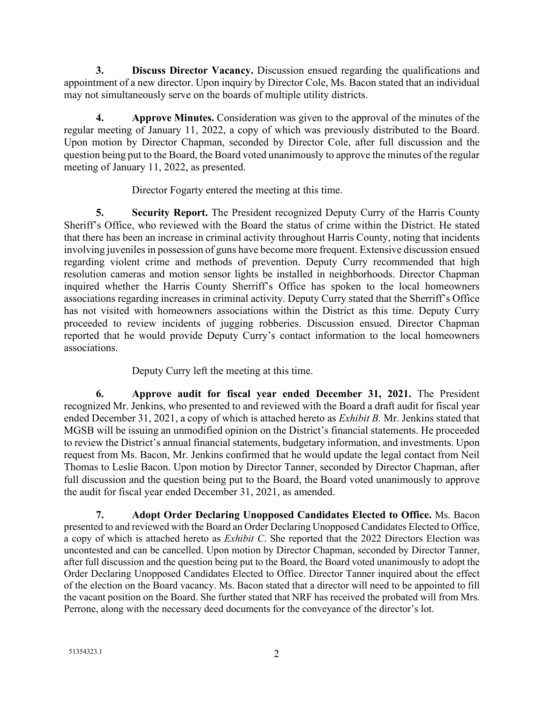**3. Discuss Director Vacancy.** Discussion ensued regarding the qualifications and appointment of a new director. Upon inquiry by Director Cole, Ms. Bacon stated that an individual may not simultaneously serve on the boards of multiple utility districts.

**4. Approve Minutes.** Consideration was given to the approval of the minutes of the regular meeting of January 11, 2022, a copy of which was previously distributed to the Board. Upon motion by Director Chapman, seconded by Director Cole, after full discussion and the question being put to the Board, the Board voted unanimously to approve the minutes of the regular meeting of January 11, 2022, as presented.

Director Fogarty entered the meeting at this time.

**5. Security Report.** The President recognized Deputy Curry of the Harris County Sheriff's Office, who reviewed with the Board the status of crime within the District. He stated that there has been an increase in criminal activity throughout Harris County, noting that incidents involving juveniles in possession of guns have become more frequent. Extensive discussion ensued regarding violent crime and methods of prevention. Deputy Curry recommended that high resolution cameras and motion sensor lights be installed in neighborhoods. Director Chapman inquired whether the Harris County Sherriff's Office has spoken to the local homeowners associations regarding increases in criminal activity. Deputy Curry stated that the Sherriff's Office has not visited with homeowners associations within the District as this time. Deputy Curry proceeded to review incidents of jugging robberies. Discussion ensued. Director Chapman reported that he would provide Deputy Curry's contact information to the local homeowners associations.

Deputy Curry left the meeting at this time.

**6. Approve audit for fiscal year ended December 31, 2021.** The President recognized Mr. Jenkins, who presented to and reviewed with the Board a draft audit for fiscal year ended December 31, 2021, a copy of which is attached hereto as *Exhibit B.* Mr. Jenkins stated that MGSB will be issuing an unmodified opinion on the District's financial statements. He proceeded to review the District's annual financial statements, budgetary information, and investments. Upon request from Ms. Bacon, Mr. Jenkins confirmed that he would update the legal contact from Neil Thomas to Leslie Bacon. Upon motion by Director Tanner, seconded by Director Chapman, after full discussion and the question being put to the Board, the Board voted unanimously to approve the audit for fiscal year ended December 31, 2021, as amended.

**7. Adopt Order Declaring Unopposed Candidates Elected to Office.** Ms. Bacon presented to and reviewed with the Board an Order Declaring Unopposed Candidates Elected to Office, a copy of which is attached hereto as *Exhibit C*. She reported that the 2022 Directors Election was uncontested and can be cancelled. Upon motion by Director Chapman, seconded by Director Tanner, after full discussion and the question being put to the Board, the Board voted unanimously to adopt the Order Declaring Unopposed Candidates Elected to Office. Director Tanner inquired about the effect of the election on the Board vacancy. Ms. Bacon stated that a director will need to be appointed to fill the vacant position on the Board. She further stated that NRF has received the probated will from Mrs. Perrone, along with the necessary deed documents for the conveyance of the director's lot.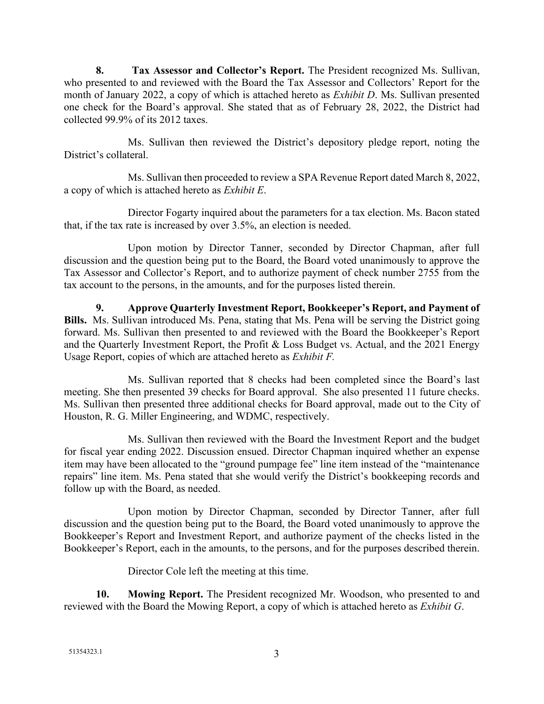**8. Tax Assessor and Collector's Report.** The President recognized Ms. Sullivan, who presented to and reviewed with the Board the Tax Assessor and Collectors' Report for the month of January 2022, a copy of which is attached hereto as *Exhibit D*. Ms. Sullivan presented one check for the Board's approval. She stated that as of February 28, 2022, the District had collected 99.9% of its 2012 taxes.

Ms. Sullivan then reviewed the District's depository pledge report, noting the District's collateral.

Ms. Sullivan then proceeded to review a SPA Revenue Report dated March 8, 2022, a copy of which is attached hereto as *Exhibit E*.

Director Fogarty inquired about the parameters for a tax election. Ms. Bacon stated that, if the tax rate is increased by over 3.5%, an election is needed.

Upon motion by Director Tanner, seconded by Director Chapman, after full discussion and the question being put to the Board, the Board voted unanimously to approve the Tax Assessor and Collector's Report, and to authorize payment of check number 2755 from the tax account to the persons, in the amounts, and for the purposes listed therein.

**9. Approve Quarterly Investment Report, Bookkeeper's Report, and Payment of Bills.** Ms. Sullivan introduced Ms. Pena, stating that Ms. Pena will be serving the District going forward. Ms. Sullivan then presented to and reviewed with the Board the Bookkeeper's Report and the Quarterly Investment Report, the Profit & Loss Budget vs. Actual, and the 2021 Energy Usage Report, copies of which are attached hereto as *Exhibit F.*

Ms. Sullivan reported that 8 checks had been completed since the Board's last meeting. She then presented 39 checks for Board approval. She also presented 11 future checks. Ms. Sullivan then presented three additional checks for Board approval, made out to the City of Houston, R. G. Miller Engineering, and WDMC, respectively.

Ms. Sullivan then reviewed with the Board the Investment Report and the budget for fiscal year ending 2022. Discussion ensued. Director Chapman inquired whether an expense item may have been allocated to the "ground pumpage fee" line item instead of the "maintenance repairs" line item. Ms. Pena stated that she would verify the District's bookkeeping records and follow up with the Board, as needed.

Upon motion by Director Chapman, seconded by Director Tanner, after full discussion and the question being put to the Board, the Board voted unanimously to approve the Bookkeeper's Report and Investment Report, and authorize payment of the checks listed in the Bookkeeper's Report, each in the amounts, to the persons, and for the purposes described therein.

Director Cole left the meeting at this time.

**10. Mowing Report.** The President recognized Mr. Woodson, who presented to and reviewed with the Board the Mowing Report, a copy of which is attached hereto as *Exhibit G*.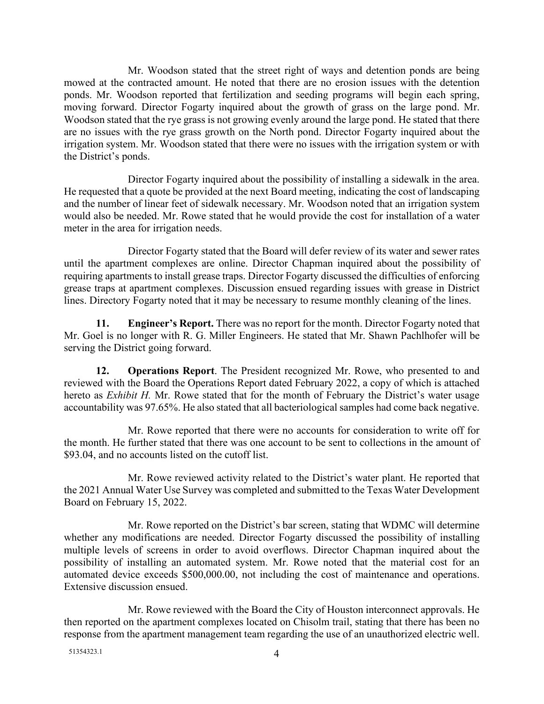Mr. Woodson stated that the street right of ways and detention ponds are being mowed at the contracted amount. He noted that there are no erosion issues with the detention ponds. Mr. Woodson reported that fertilization and seeding programs will begin each spring, moving forward. Director Fogarty inquired about the growth of grass on the large pond. Mr. Woodson stated that the rye grass is not growing evenly around the large pond. He stated that there are no issues with the rye grass growth on the North pond. Director Fogarty inquired about the irrigation system. Mr. Woodson stated that there were no issues with the irrigation system or with the District's ponds.

Director Fogarty inquired about the possibility of installing a sidewalk in the area. He requested that a quote be provided at the next Board meeting, indicating the cost of landscaping and the number of linear feet of sidewalk necessary. Mr. Woodson noted that an irrigation system would also be needed. Mr. Rowe stated that he would provide the cost for installation of a water meter in the area for irrigation needs.

Director Fogarty stated that the Board will defer review of its water and sewer rates until the apartment complexes are online. Director Chapman inquired about the possibility of requiring apartments to install grease traps. Director Fogarty discussed the difficulties of enforcing grease traps at apartment complexes. Discussion ensued regarding issues with grease in District lines. Directory Fogarty noted that it may be necessary to resume monthly cleaning of the lines.

**11. Engineer's Report.** There was no report for the month. Director Fogarty noted that Mr. Goel is no longer with R. G. Miller Engineers. He stated that Mr. Shawn Pachlhofer will be serving the District going forward.

**12. Operations Report**. The President recognized Mr. Rowe, who presented to and reviewed with the Board the Operations Report dated February 2022, a copy of which is attached hereto as *Exhibit H.* Mr. Rowe stated that for the month of February the District's water usage accountability was 97.65%. He also stated that all bacteriological samples had come back negative.

Mr. Rowe reported that there were no accounts for consideration to write off for the month. He further stated that there was one account to be sent to collections in the amount of \$93.04, and no accounts listed on the cutoff list.

Mr. Rowe reviewed activity related to the District's water plant. He reported that the 2021 Annual Water Use Survey was completed and submitted to the Texas Water Development Board on February 15, 2022.

Mr. Rowe reported on the District's bar screen, stating that WDMC will determine whether any modifications are needed. Director Fogarty discussed the possibility of installing multiple levels of screens in order to avoid overflows. Director Chapman inquired about the possibility of installing an automated system. Mr. Rowe noted that the material cost for an automated device exceeds \$500,000.00, not including the cost of maintenance and operations. Extensive discussion ensued.

Mr. Rowe reviewed with the Board the City of Houston interconnect approvals. He then reported on the apartment complexes located on Chisolm trail, stating that there has been no response from the apartment management team regarding the use of an unauthorized electric well.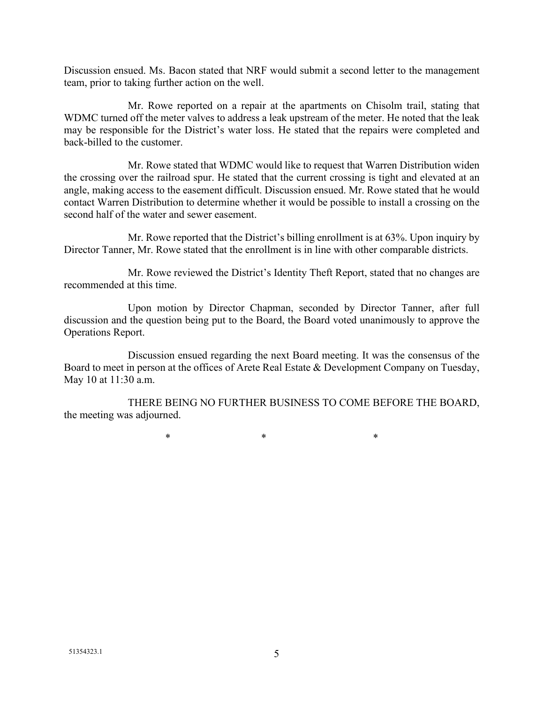Discussion ensued. Ms. Bacon stated that NRF would submit a second letter to the management team, prior to taking further action on the well.

Mr. Rowe reported on a repair at the apartments on Chisolm trail, stating that WDMC turned off the meter valves to address a leak upstream of the meter. He noted that the leak may be responsible for the District's water loss. He stated that the repairs were completed and back-billed to the customer.

Mr. Rowe stated that WDMC would like to request that Warren Distribution widen the crossing over the railroad spur. He stated that the current crossing is tight and elevated at an angle, making access to the easement difficult. Discussion ensued. Mr. Rowe stated that he would contact Warren Distribution to determine whether it would be possible to install a crossing on the second half of the water and sewer easement.

Mr. Rowe reported that the District's billing enrollment is at 63%. Upon inquiry by Director Tanner, Mr. Rowe stated that the enrollment is in line with other comparable districts.

Mr. Rowe reviewed the District's Identity Theft Report, stated that no changes are recommended at this time.

Upon motion by Director Chapman, seconded by Director Tanner, after full discussion and the question being put to the Board, the Board voted unanimously to approve the Operations Report.

Discussion ensued regarding the next Board meeting. It was the consensus of the Board to meet in person at the offices of Arete Real Estate & Development Company on Tuesday, May 10 at 11:30 a.m.

THERE BEING NO FURTHER BUSINESS TO COME BEFORE THE BOARD, the meeting was adjourned.

 $*$  \*  $*$  \*